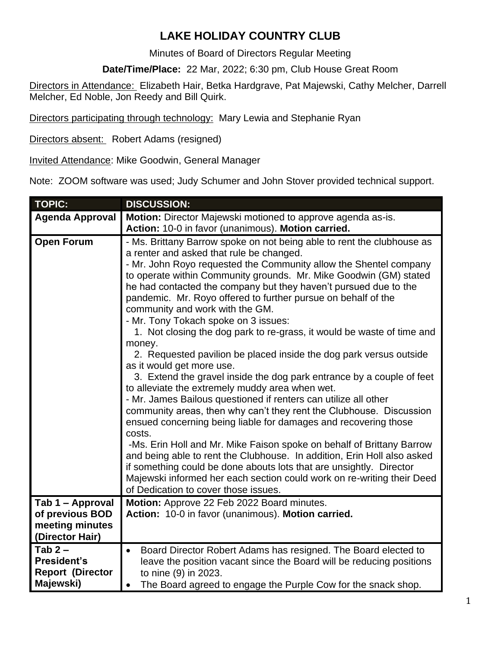## **LAKE HOLIDAY COUNTRY CLUB**

Minutes of Board of Directors Regular Meeting

**Date/Time/Place:** 22 Mar, 2022; 6:30 pm, Club House Great Room

Directors in Attendance: Elizabeth Hair, Betka Hardgrave, Pat Majewski, Cathy Melcher, Darrell Melcher, Ed Noble, Jon Reedy and Bill Quirk.

Directors participating through technology: Mary Lewia and Stephanie Ryan

Directors absent: Robert Adams (resigned)

Invited Attendance: Mike Goodwin, General Manager

Note: ZOOM software was used; Judy Schumer and John Stover provided technical support.

| <b>TOPIC:</b>           | <b>DISCUSSION:</b>                                                                                                                                                                                                                                                                                                                                                                                                                                                                                                                                                                                                                                                                                                                                                                                                                                                                                                                                                                                                                                                 |
|-------------------------|--------------------------------------------------------------------------------------------------------------------------------------------------------------------------------------------------------------------------------------------------------------------------------------------------------------------------------------------------------------------------------------------------------------------------------------------------------------------------------------------------------------------------------------------------------------------------------------------------------------------------------------------------------------------------------------------------------------------------------------------------------------------------------------------------------------------------------------------------------------------------------------------------------------------------------------------------------------------------------------------------------------------------------------------------------------------|
| <b>Agenda Approval</b>  | Motion: Director Majewski motioned to approve agenda as-is.                                                                                                                                                                                                                                                                                                                                                                                                                                                                                                                                                                                                                                                                                                                                                                                                                                                                                                                                                                                                        |
|                         |                                                                                                                                                                                                                                                                                                                                                                                                                                                                                                                                                                                                                                                                                                                                                                                                                                                                                                                                                                                                                                                                    |
| <b>Open Forum</b>       | Action: 10-0 in favor (unanimous). Motion carried.<br>- Ms. Brittany Barrow spoke on not being able to rent the clubhouse as<br>a renter and asked that rule be changed.<br>- Mr. John Royo requested the Community allow the Shentel company<br>to operate within Community grounds. Mr. Mike Goodwin (GM) stated<br>he had contacted the company but they haven't pursued due to the<br>pandemic. Mr. Royo offered to further pursue on behalf of the<br>community and work with the GM.<br>- Mr. Tony Tokach spoke on 3 issues:<br>1. Not closing the dog park to re-grass, it would be waste of time and<br>money.<br>2. Requested pavilion be placed inside the dog park versus outside<br>as it would get more use.<br>3. Extend the gravel inside the dog park entrance by a couple of feet<br>to alleviate the extremely muddy area when wet.<br>- Mr. James Bailous questioned if renters can utilize all other<br>community areas, then why can't they rent the Clubhouse. Discussion<br>ensued concerning being liable for damages and recovering those |
|                         | costs.<br>-Ms. Erin Holl and Mr. Mike Faison spoke on behalf of Brittany Barrow<br>and being able to rent the Clubhouse. In addition, Erin Holl also asked<br>if something could be done abouts lots that are unsightly. Director<br>Majewski informed her each section could work on re-writing their Deed<br>of Dedication to cover those issues.                                                                                                                                                                                                                                                                                                                                                                                                                                                                                                                                                                                                                                                                                                                |
| Tab 1 - Approval        | Motion: Approve 22 Feb 2022 Board minutes.                                                                                                                                                                                                                                                                                                                                                                                                                                                                                                                                                                                                                                                                                                                                                                                                                                                                                                                                                                                                                         |
| of previous BOD         | Action: 10-0 in favor (unanimous). Motion carried.                                                                                                                                                                                                                                                                                                                                                                                                                                                                                                                                                                                                                                                                                                                                                                                                                                                                                                                                                                                                                 |
| meeting minutes         |                                                                                                                                                                                                                                                                                                                                                                                                                                                                                                                                                                                                                                                                                                                                                                                                                                                                                                                                                                                                                                                                    |
| (Director Hair)         |                                                                                                                                                                                                                                                                                                                                                                                                                                                                                                                                                                                                                                                                                                                                                                                                                                                                                                                                                                                                                                                                    |
| Tab $2-$                | Board Director Robert Adams has resigned. The Board elected to                                                                                                                                                                                                                                                                                                                                                                                                                                                                                                                                                                                                                                                                                                                                                                                                                                                                                                                                                                                                     |
| <b>President's</b>      | leave the position vacant since the Board will be reducing positions                                                                                                                                                                                                                                                                                                                                                                                                                                                                                                                                                                                                                                                                                                                                                                                                                                                                                                                                                                                               |
| <b>Report (Director</b> | to nine (9) in 2023.                                                                                                                                                                                                                                                                                                                                                                                                                                                                                                                                                                                                                                                                                                                                                                                                                                                                                                                                                                                                                                               |
| Majewski)               | The Board agreed to engage the Purple Cow for the snack shop.                                                                                                                                                                                                                                                                                                                                                                                                                                                                                                                                                                                                                                                                                                                                                                                                                                                                                                                                                                                                      |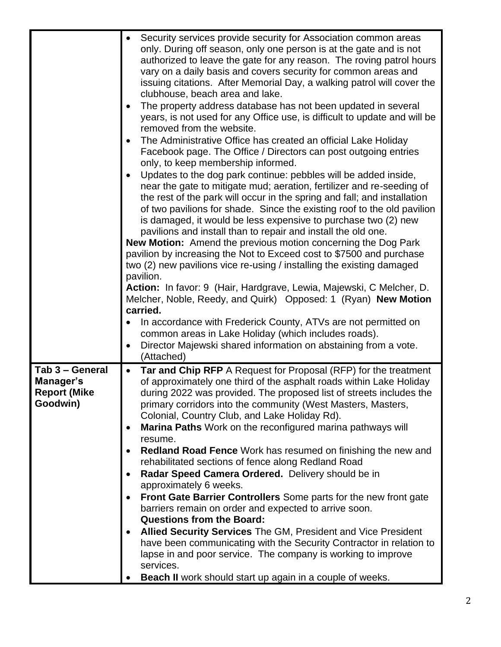|                                                                 | Security services provide security for Association common areas<br>only. During off season, only one person is at the gate and is not<br>authorized to leave the gate for any reason. The roving patrol hours<br>vary on a daily basis and covers security for common areas and<br>issuing citations. After Memorial Day, a walking patrol will cover the<br>clubhouse, beach area and lake.<br>The property address database has not been updated in several<br>years, is not used for any Office use, is difficult to update and will be<br>removed from the website.<br>The Administrative Office has created an official Lake Holiday<br>Facebook page. The Office / Directors can post outgoing entries<br>only, to keep membership informed.<br>Updates to the dog park continue: pebbles will be added inside,<br>near the gate to mitigate mud; aeration, fertilizer and re-seeding of<br>the rest of the park will occur in the spring and fall; and installation<br>of two pavilions for shade. Since the existing roof to the old pavilion<br>is damaged, it would be less expensive to purchase two (2) new<br>pavilions and install than to repair and install the old one.<br><b>New Motion:</b> Amend the previous motion concerning the Dog Park<br>pavilion by increasing the Not to Exceed cost to \$7500 and purchase<br>two (2) new pavilions vice re-using / installing the existing damaged<br>pavilion.<br>Action: In favor: 9 (Hair, Hardgrave, Lewia, Majewski, C Melcher, D.<br>Melcher, Noble, Reedy, and Quirk) Opposed: 1 (Ryan) New Motion<br>carried.<br>In accordance with Frederick County, ATVs are not permitted on |
|-----------------------------------------------------------------|--------------------------------------------------------------------------------------------------------------------------------------------------------------------------------------------------------------------------------------------------------------------------------------------------------------------------------------------------------------------------------------------------------------------------------------------------------------------------------------------------------------------------------------------------------------------------------------------------------------------------------------------------------------------------------------------------------------------------------------------------------------------------------------------------------------------------------------------------------------------------------------------------------------------------------------------------------------------------------------------------------------------------------------------------------------------------------------------------------------------------------------------------------------------------------------------------------------------------------------------------------------------------------------------------------------------------------------------------------------------------------------------------------------------------------------------------------------------------------------------------------------------------------------------------------------------------------------------------------------------------------------------------------|
|                                                                 | common areas in Lake Holiday (which includes roads).<br>Director Majewski shared information on abstaining from a vote.<br>(Attached)                                                                                                                                                                                                                                                                                                                                                                                                                                                                                                                                                                                                                                                                                                                                                                                                                                                                                                                                                                                                                                                                                                                                                                                                                                                                                                                                                                                                                                                                                                                  |
| Tab 3 - General<br>Manager's<br><b>Report (Mike</b><br>Goodwin) | Tar and Chip RFP A Request for Proposal (RFP) for the treatment<br>$\bullet$<br>of approximately one third of the asphalt roads within Lake Holiday<br>during 2022 was provided. The proposed list of streets includes the<br>primary corridors into the community (West Masters, Masters,<br>Colonial, Country Club, and Lake Holiday Rd).<br>Marina Paths Work on the reconfigured marina pathways will<br>resume.<br><b>Redland Road Fence</b> Work has resumed on finishing the new and<br>rehabilitated sections of fence along Redland Road<br>Radar Speed Camera Ordered. Delivery should be in<br>approximately 6 weeks.<br>Front Gate Barrier Controllers Some parts for the new front gate<br>barriers remain on order and expected to arrive soon.<br><b>Questions from the Board:</b><br>Allied Security Services The GM, President and Vice President<br>have been communicating with the Security Contractor in relation to<br>lapse in and poor service. The company is working to improve<br>services.<br><b>Beach II</b> work should start up again in a couple of weeks.                                                                                                                                                                                                                                                                                                                                                                                                                                                                                                                                                             |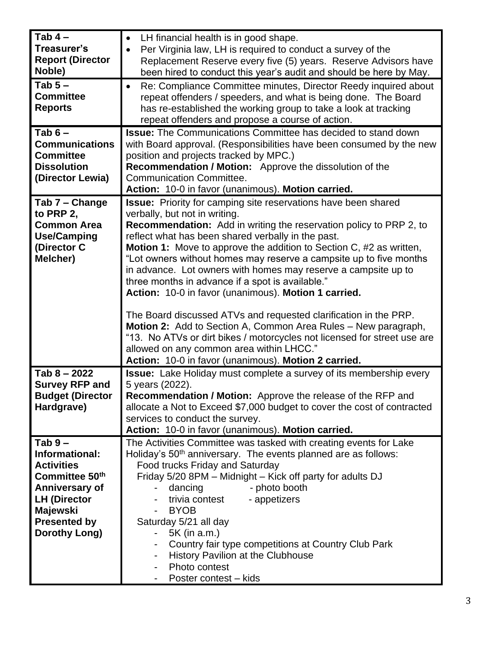| Tab $4-$<br>Treasurer's<br><b>Report (Director</b><br>Noble)<br>Tab $5-$<br><b>Committee</b><br><b>Reports</b><br>Tab $6-$                                      | LH financial health is in good shape.<br>٠<br>Per Virginia law, LH is required to conduct a survey of the<br>Replacement Reserve every five (5) years. Reserve Advisors have<br>been hired to conduct this year's audit and should be here by May.<br>Re: Compliance Committee minutes, Director Reedy inquired about<br>repeat offenders / speeders, and what is being done. The Board<br>has re-established the working group to take a look at tracking<br>repeat offenders and propose a course of action.<br><b>Issue:</b> The Communications Committee has decided to stand down                                                                                                                                                                                                                                                                                                            |
|-----------------------------------------------------------------------------------------------------------------------------------------------------------------|---------------------------------------------------------------------------------------------------------------------------------------------------------------------------------------------------------------------------------------------------------------------------------------------------------------------------------------------------------------------------------------------------------------------------------------------------------------------------------------------------------------------------------------------------------------------------------------------------------------------------------------------------------------------------------------------------------------------------------------------------------------------------------------------------------------------------------------------------------------------------------------------------|
| <b>Communications</b><br><b>Committee</b><br><b>Dissolution</b><br>(Director Lewia)                                                                             | with Board approval. (Responsibilities have been consumed by the new<br>position and projects tracked by MPC.)<br><b>Recommendation / Motion:</b> Approve the dissolution of the<br><b>Communication Committee.</b><br>Action: 10-0 in favor (unanimous). Motion carried.                                                                                                                                                                                                                                                                                                                                                                                                                                                                                                                                                                                                                         |
| Tab 7 - Change<br>to PRP 2,<br><b>Common Area</b><br><b>Use/Camping</b><br>(Director C<br>Melcher)                                                              | <b>Issue:</b> Priority for camping site reservations have been shared<br>verbally, but not in writing.<br><b>Recommendation:</b> Add in writing the reservation policy to PRP 2, to<br>reflect what has been shared verbally in the past.<br><b>Motion 1:</b> Move to approve the addition to Section C, #2 as written,<br>"Lot owners without homes may reserve a campsite up to five months<br>in advance. Lot owners with homes may reserve a campsite up to<br>three months in advance if a spot is available."<br>Action: 10-0 in favor (unanimous). Motion 1 carried.<br>The Board discussed ATVs and requested clarification in the PRP.<br>Motion 2: Add to Section A, Common Area Rules - New paragraph,<br>"13. No ATVs or dirt bikes / motorcycles not licensed for street use are<br>allowed on any common area within LHCC."<br>Action: 10-0 in favor (unanimous). Motion 2 carried. |
| Tab $8 - 2022$<br><b>Survey RFP and</b><br><b>Budget (Director</b>                                                                                              | <b>Issue:</b> Lake Holiday must complete a survey of its membership every<br>5 years (2022).<br>Recommendation / Motion: Approve the release of the RFP and                                                                                                                                                                                                                                                                                                                                                                                                                                                                                                                                                                                                                                                                                                                                       |
| Hardgrave)                                                                                                                                                      | allocate a Not to Exceed \$7,000 budget to cover the cost of contracted<br>services to conduct the survey.<br>Action: 10-0 in favor (unanimous). Motion carried.                                                                                                                                                                                                                                                                                                                                                                                                                                                                                                                                                                                                                                                                                                                                  |
| $Tab 9 -$<br>Informational:<br><b>Activities</b><br>Committee 50th<br>Anniversary of<br><b>LH (Director</b><br>Majewski<br><b>Presented by</b><br>Dorothy Long) | The Activities Committee was tasked with creating events for Lake<br>Holiday's 50 <sup>th</sup> anniversary. The events planned are as follows:<br>Food trucks Friday and Saturday<br>Friday 5/20 8PM - Midnight - Kick off party for adults DJ<br>- photo booth<br>dancing<br>trivia contest<br>- appetizers<br><b>BYOB</b><br>Saturday 5/21 all day<br>5K (in a.m.)<br>$\blacksquare$<br>Country fair type competitions at Country Club Park<br>History Pavilion at the Clubhouse<br>Photo contest<br>Poster contest – kids                                                                                                                                                                                                                                                                                                                                                                     |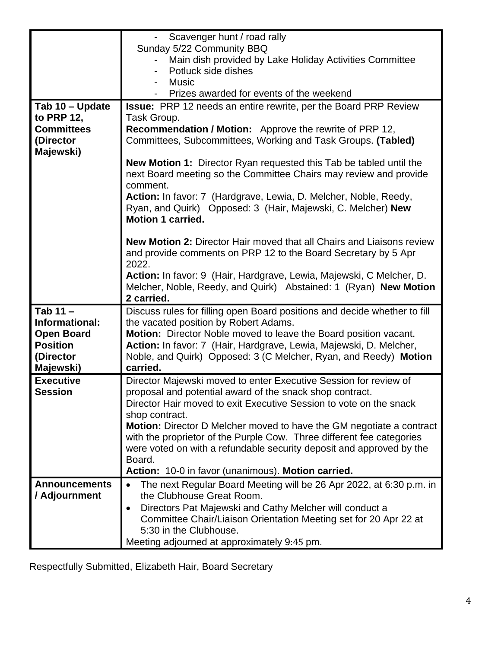|                      | Scavenger hunt / road rally                                                                |
|----------------------|--------------------------------------------------------------------------------------------|
|                      | Sunday 5/22 Community BBQ                                                                  |
|                      | Main dish provided by Lake Holiday Activities Committee                                    |
|                      | Potluck side dishes                                                                        |
|                      | <b>Music</b>                                                                               |
|                      | Prizes awarded for events of the weekend                                                   |
| Tab 10 - Update      | <b>Issue:</b> PRP 12 needs an entire rewrite, per the Board PRP Review                     |
| to PRP 12,           | Task Group.                                                                                |
| <b>Committees</b>    | Recommendation / Motion: Approve the rewrite of PRP 12,                                    |
| (Director            | Committees, Subcommittees, Working and Task Groups. (Tabled)                               |
| Majewski)            |                                                                                            |
|                      | <b>New Motion 1:</b> Director Ryan requested this Tab be tabled until the                  |
|                      | next Board meeting so the Committee Chairs may review and provide                          |
|                      | comment.<br>Action: In favor: 7 (Hardgrave, Lewia, D. Melcher, Noble, Reedy,               |
|                      | Ryan, and Quirk) Opposed: 3 (Hair, Majewski, C. Melcher) New                               |
|                      | <b>Motion 1 carried.</b>                                                                   |
|                      |                                                                                            |
|                      | <b>New Motion 2: Director Hair moved that all Chairs and Liaisons review</b>               |
|                      | and provide comments on PRP 12 to the Board Secretary by 5 Apr                             |
|                      | 2022.                                                                                      |
|                      | Action: In favor: 9 (Hair, Hardgrave, Lewia, Majewski, C Melcher, D.                       |
|                      | Melcher, Noble, Reedy, and Quirk) Abstained: 1 (Ryan) New Motion                           |
|                      | 2 carried.                                                                                 |
| Tab $11 -$           | Discuss rules for filling open Board positions and decide whether to fill                  |
| Informational:       | the vacated position by Robert Adams.                                                      |
| <b>Open Board</b>    | Motion: Director Noble moved to leave the Board position vacant.                           |
| <b>Position</b>      | Action: In favor: 7 (Hair, Hardgrave, Lewia, Majewski, D. Melcher,                         |
| (Director            | Noble, and Quirk) Opposed: 3 (C Melcher, Ryan, and Reedy) Motion                           |
| Majewski)            | carried.                                                                                   |
| <b>Executive</b>     | Director Majewski moved to enter Executive Session for review of                           |
| <b>Session</b>       | proposal and potential award of the snack shop contract.                                   |
|                      | Director Hair moved to exit Executive Session to vote on the snack                         |
|                      | shop contract.                                                                             |
|                      | <b>Motion:</b> Director D Melcher moved to have the GM negotiate a contract                |
|                      | with the proprietor of the Purple Cow. Three different fee categories                      |
|                      | were voted on with a refundable security deposit and approved by the                       |
|                      | Board.                                                                                     |
|                      | Action: 10-0 in favor (unanimous). Motion carried.                                         |
| <b>Announcements</b> | The next Regular Board Meeting will be 26 Apr 2022, at 6:30 p.m. in                        |
| / Adjournment        | the Clubhouse Great Room.                                                                  |
|                      | Directors Pat Majewski and Cathy Melcher will conduct a                                    |
|                      | Committee Chair/Liaison Orientation Meeting set for 20 Apr 22 at<br>5:30 in the Clubhouse. |
|                      | Meeting adjourned at approximately 9:45 pm.                                                |
|                      |                                                                                            |

Respectfully Submitted, Elizabeth Hair, Board Secretary